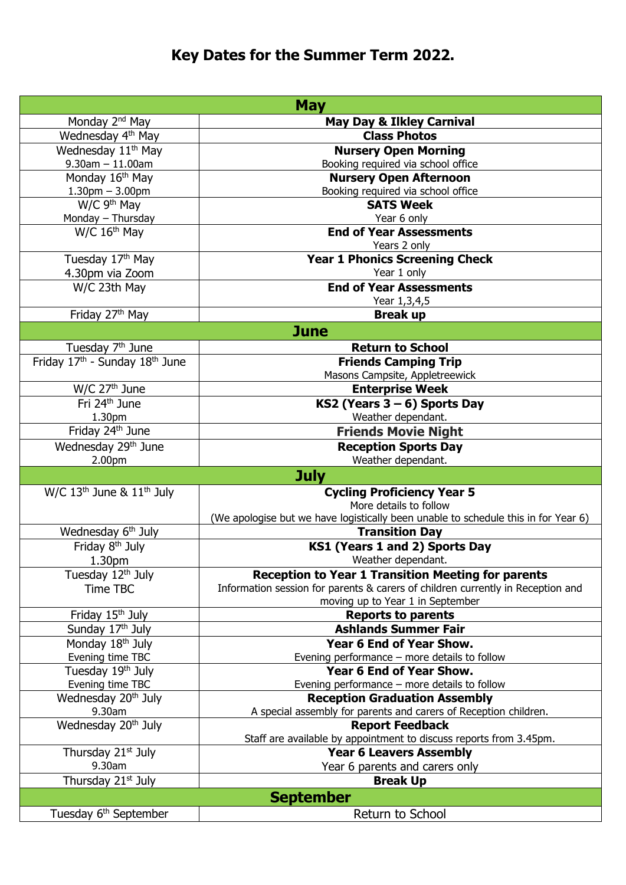## **Key Dates for the Summer Term 2022.**

| <b>May</b>                                |                                                                                    |
|-------------------------------------------|------------------------------------------------------------------------------------|
| Monday 2 <sup>nd</sup> May                | <b>May Day &amp; Ilkley Carnival</b>                                               |
| Wednesday 4 <sup>th</sup> May             | <b>Class Photos</b>                                                                |
| Wednesday 11 <sup>th</sup> May            | <b>Nursery Open Morning</b>                                                        |
| $9.30$ am $-11.00$ am                     | Booking required via school office                                                 |
| Monday 16th May                           | <b>Nursery Open Afternoon</b>                                                      |
| $1.30$ pm $- 3.00$ pm                     | Booking required via school office                                                 |
| W/C 9 <sup>th</sup> May                   | <b>SATS Week</b>                                                                   |
| Monday - Thursday                         | Year 6 only                                                                        |
| $W/C$ 16 <sup>th</sup> May                | <b>End of Year Assessments</b>                                                     |
|                                           | Years 2 only                                                                       |
| Tuesday 17 <sup>th</sup> May              | <b>Year 1 Phonics Screening Check</b>                                              |
| 4.30pm via Zoom                           | Year 1 only                                                                        |
| W/C 23th Mav                              | <b>End of Year Assessments</b>                                                     |
|                                           | Year 1, 3, 4, 5                                                                    |
| Friday 27 <sup>th</sup> May               | <b>Break up</b>                                                                    |
|                                           | <b>June</b>                                                                        |
| Tuesday 7 <sup>th</sup> June              | <b>Return to School</b>                                                            |
| Friday 17th - Sunday 18th June            | <b>Friends Camping Trip</b>                                                        |
|                                           | Masons Campsite, Appletreewick                                                     |
| W/C 27 <sup>th</sup> June                 | <b>Enterprise Week</b>                                                             |
| Fri 24 <sup>th</sup> June                 | KS2 (Years $3-6$ ) Sports Day                                                      |
| 1.30pm                                    | Weather dependant.                                                                 |
| Friday 24th June                          | <b>Friends Movie Night</b>                                                         |
| Wednesday 29th June<br>2.00 <sub>pm</sub> | <b>Reception Sports Day</b><br>Weather dependant.                                  |
|                                           | July                                                                               |
| W/C $13th$ June & $11th$ July             | <b>Cycling Proficiency Year 5</b>                                                  |
|                                           | More details to follow                                                             |
|                                           | (We apologise but we have logistically been unable to schedule this in for Year 6) |
| Wednesday 6 <sup>th</sup> July            | <b>Transition Day</b>                                                              |
| Friday 8 <sup>th</sup> July               | KS1 (Years 1 and 2) Sports Day                                                     |
| 1.30pm                                    | Weather dependant.                                                                 |
| Tuesday 12 <sup>th</sup> July             | <b>Reception to Year 1 Transition Meeting for parents</b>                          |
| Time TBC                                  | Information session for parents & carers of children currently in Reception and    |
|                                           | moving up to Year 1 in September                                                   |
| Friday 15 <sup>th</sup> July              | <b>Reports to parents</b>                                                          |
| Sunday 17th July                          | <b>Ashlands Summer Fair</b>                                                        |
| Monday 18 <sup>th</sup> July              | Year 6 End of Year Show.                                                           |
| Evening time TBC                          | Evening performance $-$ more details to follow                                     |
| Tuesday 19 <sup>th</sup> July             | Year 6 End of Year Show.                                                           |
| Evening time TBC                          | Evening performance $-$ more details to follow                                     |
| Wednesday 20 <sup>th</sup> July           | <b>Reception Graduation Assembly</b>                                               |
| 9.30am                                    | A special assembly for parents and carers of Reception children.                   |
| Wednesday 20 <sup>th</sup> July           | <b>Report Feedback</b>                                                             |
|                                           | Staff are available by appointment to discuss reports from 3.45pm.                 |
| Thursday 21 <sup>st</sup> July            | <b>Year 6 Leavers Assembly</b>                                                     |
| 9.30am                                    | Year 6 parents and carers only                                                     |
| Thursday 21 <sup>st</sup> July            | <b>Break Up</b>                                                                    |
| <b>September</b>                          |                                                                                    |
| Tuesday 6 <sup>th</sup> September         | Return to School                                                                   |